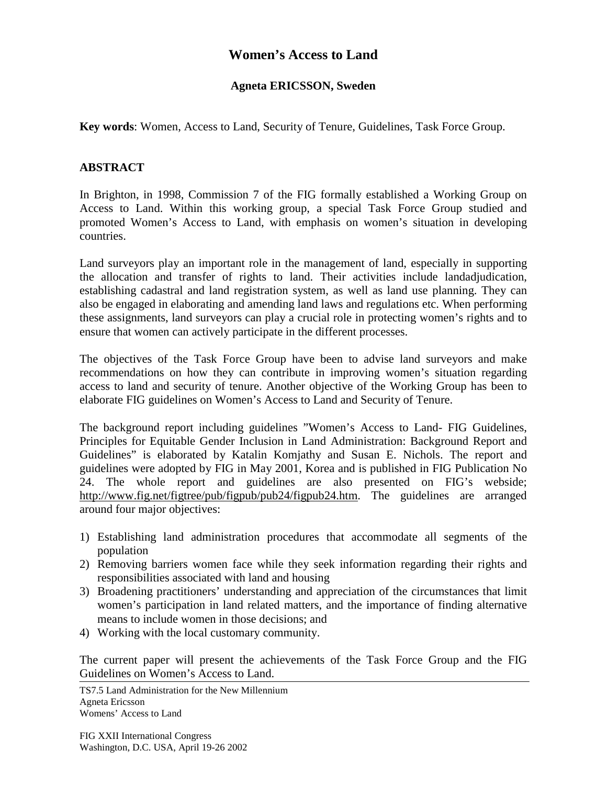## **Women's Access to Land**

## **Agneta ERICSSON, Sweden**

**Key words**: Women, Access to Land, Security of Tenure, Guidelines, Task Force Group.

## **ABSTRACT**

In Brighton, in 1998, Commission 7 of the FIG formally established a Working Group on Access to Land. Within this working group, a special Task Force Group studied and promoted Women's Access to Land, with emphasis on women's situation in developing countries.

Land surveyors play an important role in the management of land, especially in supporting the allocation and transfer of rights to land. Their activities include landadjudication, establishing cadastral and land registration system, as well as land use planning. They can also be engaged in elaborating and amending land laws and regulations etc. When performing these assignments, land surveyors can play a crucial role in protecting women's rights and to ensure that women can actively participate in the different processes.

The objectives of the Task Force Group have been to advise land surveyors and make recommendations on how they can contribute in improving women's situation regarding access to land and security of tenure. Another objective of the Working Group has been to elaborate FIG guidelines on Women's Access to Land and Security of Tenure.

The background report including guidelines "Women's Access to Land- FIG Guidelines, Principles for Equitable Gender Inclusion in Land Administration: Background Report and Guidelines" is elaborated by Katalin Komjathy and Susan E. Nichols. The report and guidelines were adopted by FIG in May 2001, Korea and is published in FIG Publication No 24. The whole report and guidelines are also presented on FIG's webside; http://www.fig.net/figtree/pub/figpub/pub24/figpub24.htm. The guidelines are arranged around four major objectives:

- 1) Establishing land administration procedures that accommodate all segments of the population
- 2) Removing barriers women face while they seek information regarding their rights and responsibilities associated with land and housing
- 3) Broadening practitioners' understanding and appreciation of the circumstances that limit women's participation in land related matters, and the importance of finding alternative means to include women in those decisions; and
- 4) Working with the local customary community.

The current paper will present the achievements of the Task Force Group and the FIG Guidelines on Women's Access to Land.

TS7.5 Land Administration for the New Millennium Agneta Ericsson Womens' Access to Land